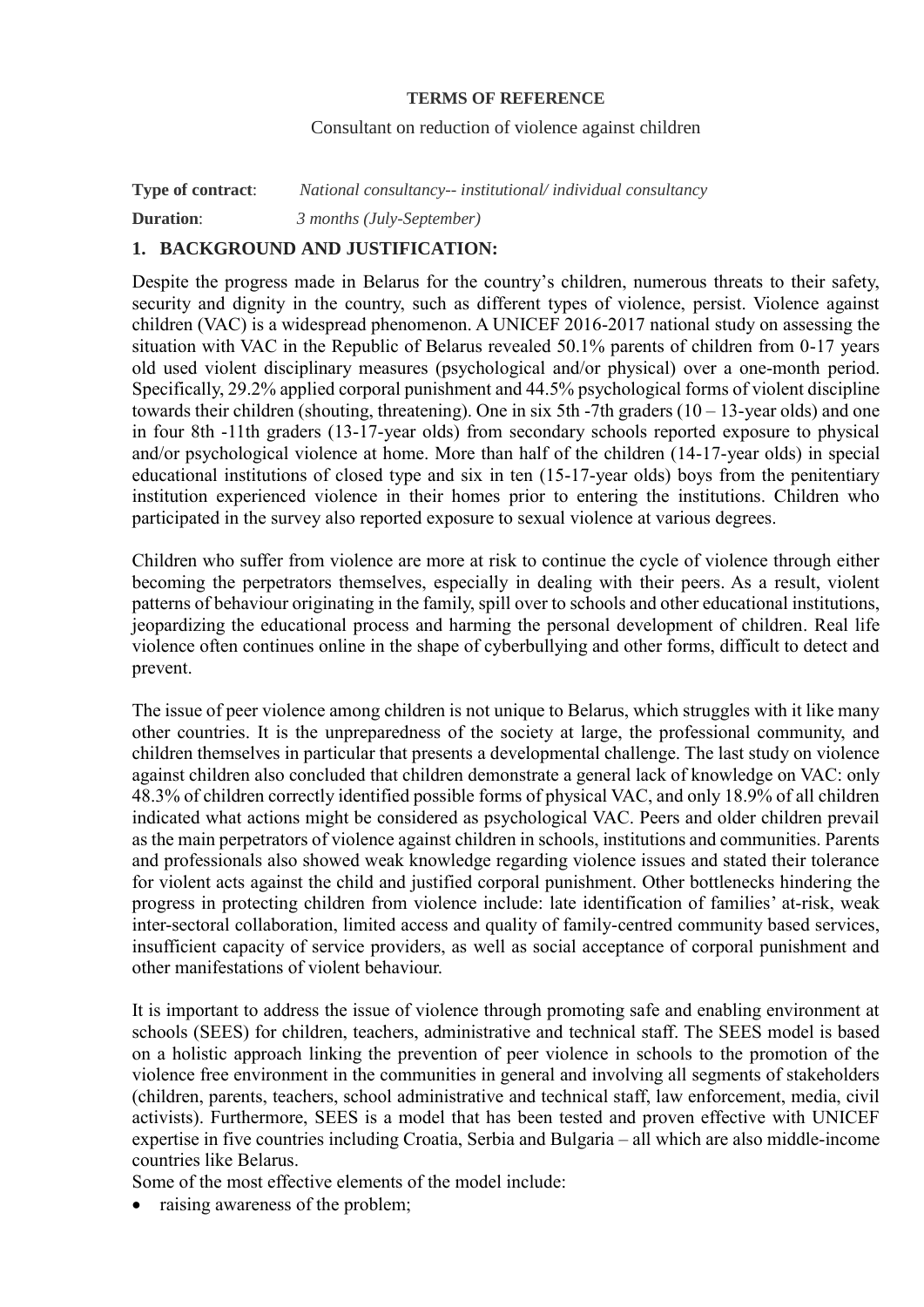#### **TERMS OF REFERENCE**

#### Consultant on reduction of violence against children

**Type of contract**: *National consultancy-- institutional/ individual consultancy* **Duration**: *3 months (July-September)*

## **1. BACKGROUND AND JUSTIFICATION:**

Despite the progress made in Belarus for the country's children, numerous threats to their safety, security and dignity in the country, such as different types of violence, persist. Violence against children (VAC) is a widespread phenomenon. A UNICEF 2016-2017 national study on assessing the situation with VAC in the Republic of Belarus revealed 50.1% parents of children from 0-17 years old used violent disciplinary measures (psychological and/or physical) over a one-month period. Specifically, 29.2% applied corporal punishment and 44.5% psychological forms of violent discipline towards their children (shouting, threatening). One in six 5th -7th graders  $(10 - 13$ -vear olds) and one in four 8th -11th graders (13-17-year olds) from secondary schools reported exposure to physical and/or psychological violence at home. More than half of the children (14-17-year olds) in special educational institutions of closed type and six in ten (15-17-year olds) boys from the penitentiary institution experienced violence in their homes prior to entering the institutions. Children who participated in the survey also reported exposure to sexual violence at various degrees.

Children who suffer from violence are more at risk to continue the cycle of violence through either becoming the perpetrators themselves, especially in dealing with their peers. As a result, violent patterns of behaviour originating in the family, spill over to schools and other educational institutions, jeopardizing the educational process and harming the personal development of children. Real life violence often continues online in the shape of cyberbullying and other forms, difficult to detect and prevent.

The issue of peer violence among children is not unique to Belarus, which struggles with it like many other countries. It is the unpreparedness of the society at large, the professional community, and children themselves in particular that presents a developmental challenge. The last study on violence against children also concluded that children demonstrate a general lack of knowledge on VAC: only 48.3% of children correctly identified possible forms of physical VAC, and only 18.9% of all children indicated what actions might be considered as psychological VAC. Peers and older children prevail as the main perpetrators of violence against children in schools, institutions and communities. Parents and professionals also showed weak knowledge regarding violence issues and stated their tolerance for violent acts against the child and justified corporal punishment. Other bottlenecks hindering the progress in protecting children from violence include: late identification of families' at-risk, weak inter-sectoral collaboration, limited access and quality of family-centred community based services, insufficient capacity of service providers, as well as social acceptance of corporal punishment and other manifestations of violent behaviour.

It is important to address the issue of violence through promoting safe and enabling environment at schools (SEES) for children, teachers, administrative and technical staff. The SEES model is based on a holistic approach linking the prevention of peer violence in schools to the promotion of the violence free environment in the communities in general and involving all segments of stakeholders (children, parents, teachers, school administrative and technical staff, law enforcement, media, civil activists). Furthermore, SEES is a model that has been tested and proven effective with UNICEF expertise in five countries including Croatia, Serbia and Bulgaria – all which are also middle-income countries like Belarus.

Some of the most effective elements of the model include:

• raising awareness of the problem;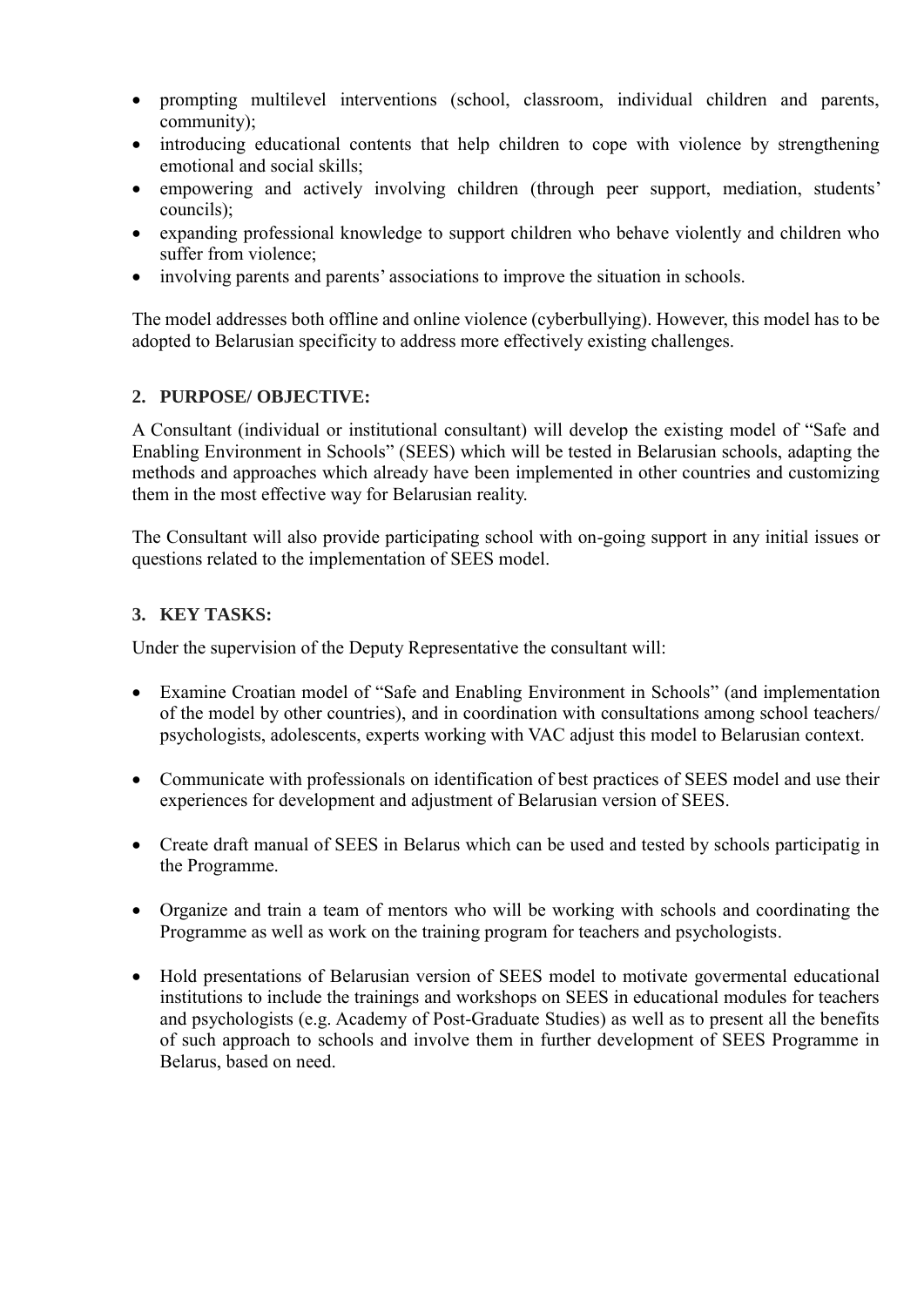- prompting multilevel interventions (school, classroom, individual children and parents, community);
- introducing educational contents that help children to cope with violence by strengthening emotional and social skills;
- empowering and actively involving children (through peer support, mediation, students' councils);
- expanding professional knowledge to support children who behave violently and children who suffer from violence;
- involving parents and parents' associations to improve the situation in schools.

The model addresses both offline and online violence (cyberbullying). However, this model has to be adopted to Belarusian specificity to address more effectively existing challenges.

### **2. PURPOSE/ OBJECTIVE:**

A Consultant (individual or institutional consultant) will develop the existing model of "Safe and Enabling Environment in Schools" (SEES) which will be tested in Belarusian schools, adapting the methods and approaches which already have been implemented in other countries and customizing them in the most effective way for Belarusian reality.

The Consultant will also provide participating school with on-going support in any initial issues or questions related to the implementation of SEES model.

### **3. KEY TASKS:**

Under the supervision of the Deputy Representative the consultant will:

- Examine Croatian model of "Safe and Enabling Environment in Schools" (and implementation of the model by other countries), and in coordination with consultations among school teachers/ psychologists, adolescents, experts working with VAC adjust this model to Belarusian context.
- Communicate with professionals on identification of best practices of SEES model and use their experiences for development and adjustment of Belarusian version of SEES.
- Create draft manual of SEES in Belarus which can be used and tested by schools participatig in the Programme.
- Organize and train a team of mentors who will be working with schools and coordinating the Programme as well as work on the training program for teachers and psychologists.
- Hold presentations of Belarusian version of SEES model to motivate govermental educational institutions to include the trainings and workshops on SEES in educational modules for teachers and psychologists (e.g. Academy of Post-Graduate Studies) as well as to present all the benefits of such approach to schools and involve them in further development of SEES Programme in Belarus, based on need.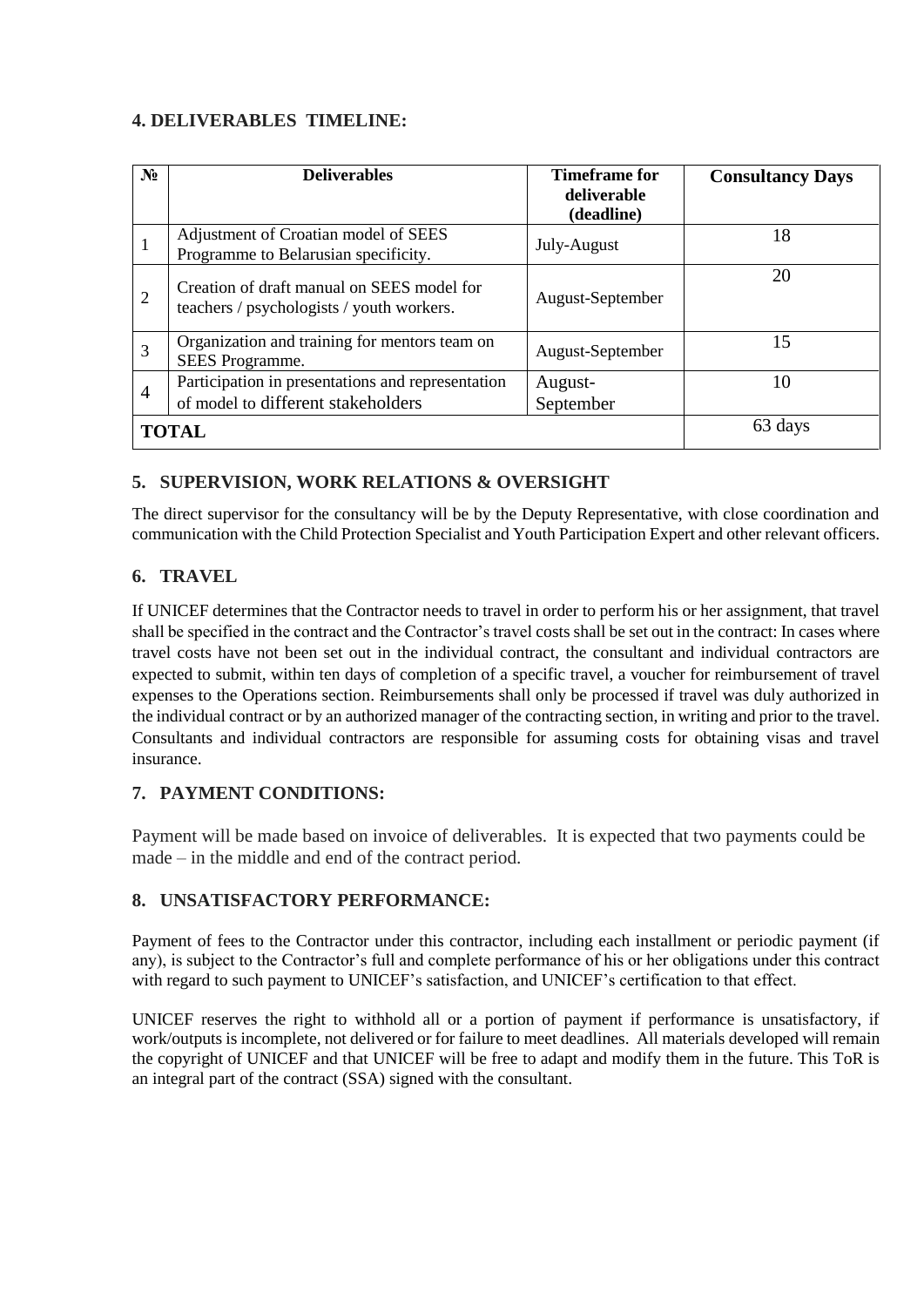# **4. DELIVERABLES TIMELINE:**

| $N_2$          | <b>Deliverables</b>                                                                     | Timeframe for             | <b>Consultancy Days</b> |
|----------------|-----------------------------------------------------------------------------------------|---------------------------|-------------------------|
|                |                                                                                         | deliverable<br>(deadline) |                         |
|                | Adjustment of Croatian model of SEES<br>Programme to Belarusian specificity.            | July-August               | 18                      |
| $\overline{2}$ | Creation of draft manual on SEES model for<br>teachers / psychologists / youth workers. | August-September          | 20                      |
| 3              | Organization and training for mentors team on<br>SEES Programme.                        | August-September          | 15                      |
| 4              | Participation in presentations and representation<br>of model to different stakeholders | August-<br>September      | 10                      |
| <b>TOTAL</b>   |                                                                                         |                           | 63 days                 |

# **5. SUPERVISION, WORK RELATIONS & OVERSIGHT**

The direct supervisor for the consultancy will be by the Deputy Representative, with close coordination and communication with the Child Protection Specialist and Youth Participation Expert and other relevant officers.

## **6. TRAVEL**

If UNICEF determines that the Contractor needs to travel in order to perform his or her assignment, that travel shall be specified in the contract and the Contractor's travel costs shall be set out in the contract: In cases where travel costs have not been set out in the individual contract, the consultant and individual contractors are expected to submit, within ten days of completion of a specific travel, a voucher for reimbursement of travel expenses to the Operations section. Reimbursements shall only be processed if travel was duly authorized in the individual contract or by an authorized manager of the contracting section, in writing and prior to the travel. Consultants and individual contractors are responsible for assuming costs for obtaining visas and travel insurance.

## **7. PAYMENT CONDITIONS:**

Payment will be made based on invoice of deliverables. It is expected that two payments could be made – in the middle and end of the contract period.

## **8. UNSATISFACTORY PERFORMANCE:**

Payment of fees to the Contractor under this contractor, including each installment or periodic payment (if any), is subject to the Contractor's full and complete performance of his or her obligations under this contract with regard to such payment to UNICEF's satisfaction, and UNICEF's certification to that effect.

UNICEF reserves the right to withhold all or a portion of payment if performance is unsatisfactory, if work/outputs is incomplete, not delivered or for failure to meet deadlines. All materials developed will remain the copyright of UNICEF and that UNICEF will be free to adapt and modify them in the future. This ToR is an integral part of the contract (SSA) signed with the consultant.